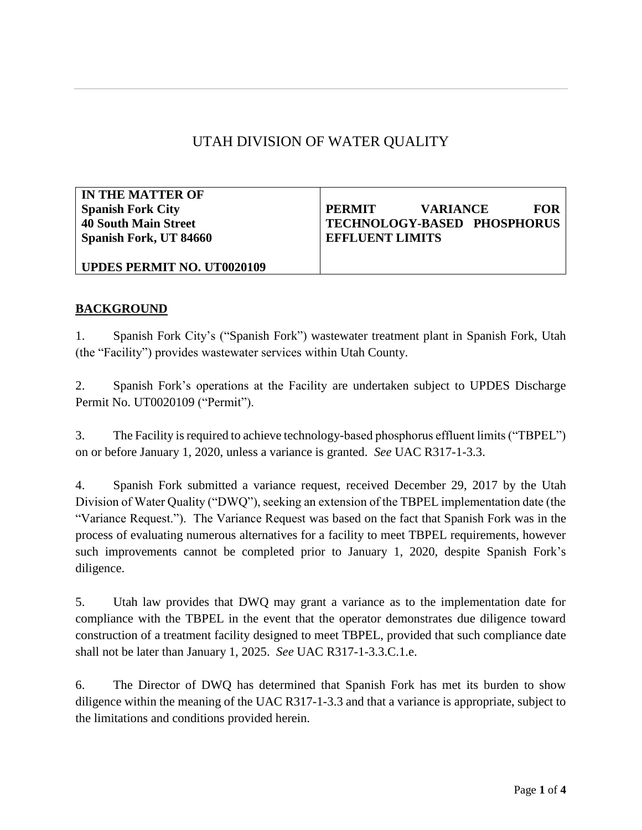# UTAH DIVISION OF WATER QUALITY

**IN THE MATTER OF Spanish Fork City 40 South Main Street Spanish Fork, UT 84660**

# **PERMIT VARIANCE FOR TECHNOLOGY-BASED PHOSPHORUS EFFLUENT LIMITS**

#### **UPDES PERMIT NO. UT0020109**

#### **BACKGROUND**

1. Spanish Fork City's ("Spanish Fork") wastewater treatment plant in Spanish Fork, Utah (the "Facility") provides wastewater services within Utah County.

2. Spanish Fork's operations at the Facility are undertaken subject to UPDES Discharge Permit No. UT0020109 ("Permit").

3. The Facility is required to achieve technology-based phosphorus effluent limits ("TBPEL") on or before January 1, 2020, unless a variance is granted. *See* UAC R317-1-3.3.

4. Spanish Fork submitted a variance request, received December 29, 2017 by the Utah Division of Water Quality ("DWQ"), seeking an extension of the TBPEL implementation date (the "Variance Request."). The Variance Request was based on the fact that Spanish Fork was in the process of evaluating numerous alternatives for a facility to meet TBPEL requirements, however such improvements cannot be completed prior to January 1, 2020, despite Spanish Fork's diligence.

5. Utah law provides that DWQ may grant a variance as to the implementation date for compliance with the TBPEL in the event that the operator demonstrates due diligence toward construction of a treatment facility designed to meet TBPEL, provided that such compliance date shall not be later than January 1, 2025. *See* UAC R317-1-3.3.C.1.e.

6. The Director of DWQ has determined that Spanish Fork has met its burden to show diligence within the meaning of the UAC R317-1-3.3 and that a variance is appropriate, subject to the limitations and conditions provided herein.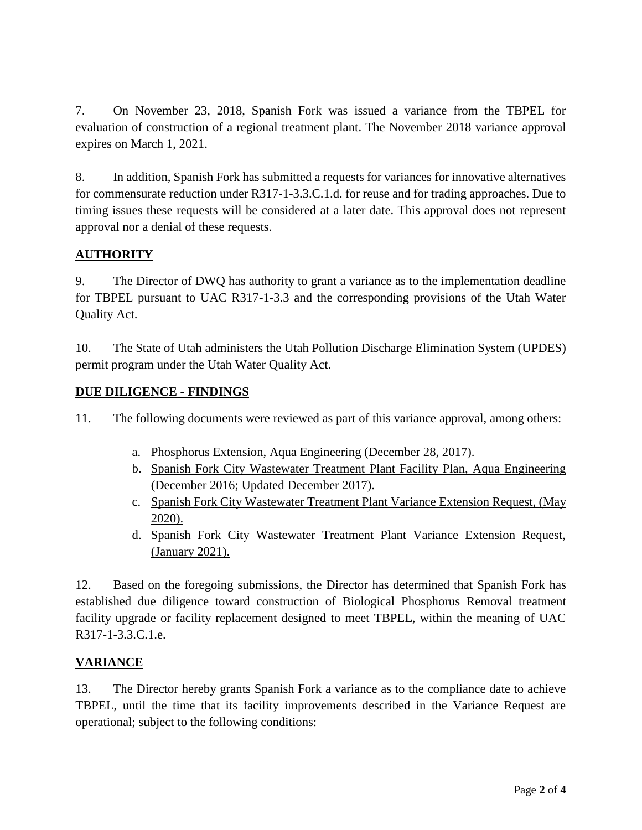7. On November 23, 2018, Spanish Fork was issued a variance from the TBPEL for evaluation of construction of a regional treatment plant. The November 2018 variance approval expires on March 1, 2021.

8. In addition, Spanish Fork has submitted a requests for variances for innovative alternatives for commensurate reduction under R317-1-3.3.C.1.d. for reuse and for trading approaches. Due to timing issues these requests will be considered at a later date. This approval does not represent approval nor a denial of these requests.

## **AUTHORITY**

9. The Director of DWQ has authority to grant a variance as to the implementation deadline for TBPEL pursuant to UAC R317-1-3.3 and the corresponding provisions of the Utah Water Quality Act.

10. The State of Utah administers the Utah Pollution Discharge Elimination System (UPDES) permit program under the Utah Water Quality Act.

### **DUE DILIGENCE - FINDINGS**

11. The following documents were reviewed as part of this variance approval, among others:

- a. Phosphorus Extension, Aqua Engineering (December 28, 2017).
- b. Spanish Fork City Wastewater Treatment Plant Facility Plan, Aqua Engineering (December 2016; Updated December 2017).
- c. Spanish Fork City Wastewater Treatment Plant Variance Extension Request, (May 2020).
- d. Spanish Fork City Wastewater Treatment Plant Variance Extension Request, (January 2021).

12. Based on the foregoing submissions, the Director has determined that Spanish Fork has established due diligence toward construction of Biological Phosphorus Removal treatment facility upgrade or facility replacement designed to meet TBPEL, within the meaning of UAC R317-1-3.3.C.1.e.

### **VARIANCE**

13. The Director hereby grants Spanish Fork a variance as to the compliance date to achieve TBPEL, until the time that its facility improvements described in the Variance Request are operational; subject to the following conditions: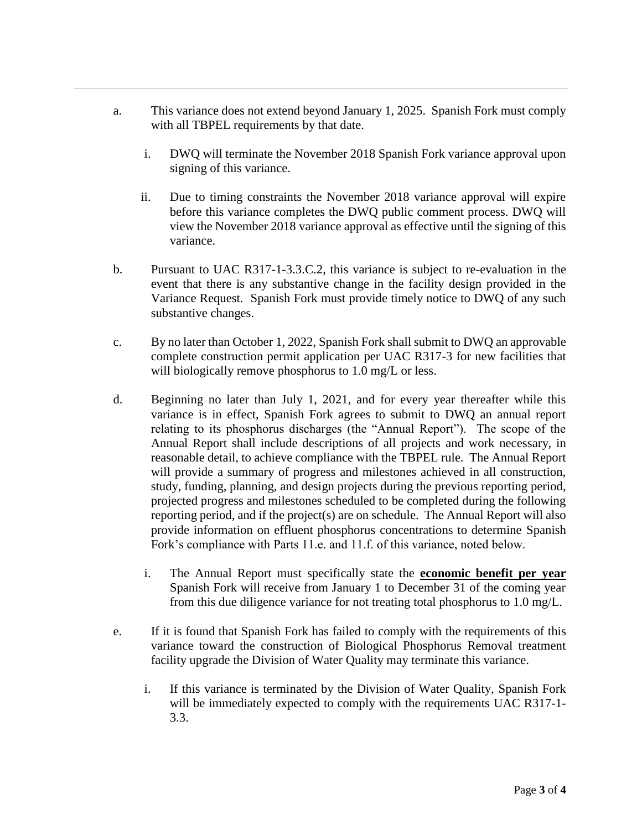- a. This variance does not extend beyond January 1, 2025. Spanish Fork must comply with all TBPEL requirements by that date.
	- i. DWQ will terminate the November 2018 Spanish Fork variance approval upon signing of this variance.
	- ii. Due to timing constraints the November 2018 variance approval will expire before this variance completes the DWQ public comment process. DWQ will view the November 2018 variance approval as effective until the signing of this variance.
- b. Pursuant to UAC R317-1-3.3.C.2, this variance is subject to re-evaluation in the event that there is any substantive change in the facility design provided in the Variance Request. Spanish Fork must provide timely notice to DWQ of any such substantive changes.
- c. By no later than October 1, 2022, Spanish Fork shall submit to DWQ an approvable complete construction permit application per UAC R317-3 for new facilities that will biologically remove phosphorus to 1.0 mg/L or less.
- d. Beginning no later than July 1, 2021, and for every year thereafter while this variance is in effect, Spanish Fork agrees to submit to DWQ an annual report relating to its phosphorus discharges (the "Annual Report"). The scope of the Annual Report shall include descriptions of all projects and work necessary, in reasonable detail, to achieve compliance with the TBPEL rule. The Annual Report will provide a summary of progress and milestones achieved in all construction, study, funding, planning, and design projects during the previous reporting period, projected progress and milestones scheduled to be completed during the following reporting period, and if the project(s) are on schedule. The Annual Report will also provide information on effluent phosphorus concentrations to determine Spanish Fork's compliance with Parts 11.e. and 11.f. of this variance, noted below.
	- i. The Annual Report must specifically state the **economic benefit per year** Spanish Fork will receive from January 1 to December 31 of the coming year from this due diligence variance for not treating total phosphorus to 1.0 mg/L.
- e. If it is found that Spanish Fork has failed to comply with the requirements of this variance toward the construction of Biological Phosphorus Removal treatment facility upgrade the Division of Water Quality may terminate this variance.
	- i. If this variance is terminated by the Division of Water Quality, Spanish Fork will be immediately expected to comply with the requirements UAC R317-1- 3.3.